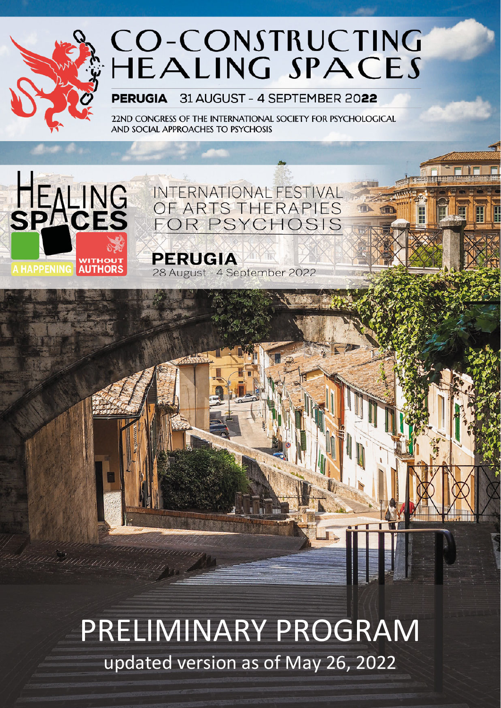

# CO-CONSTRUCTING<br>HEALING SPACES

31 AUGUST - 4 SEPTEMBER 2022 **PERUGIA** 

22ND CONGRESS OF THE INTERNATIONAL SOCIETY FOR PSYCHOLOGICAL AND SOCIAL APPROACHES TO PSYCHOSIS



OF ARTS THERAPIES<br>FOR PSYCHOSIS **PERUGIA** 

28 August - 4 September 2022

INTERNATIONAL FESTIVAL

PRELIMINARY PROGRAM updated version as of May 26, 2022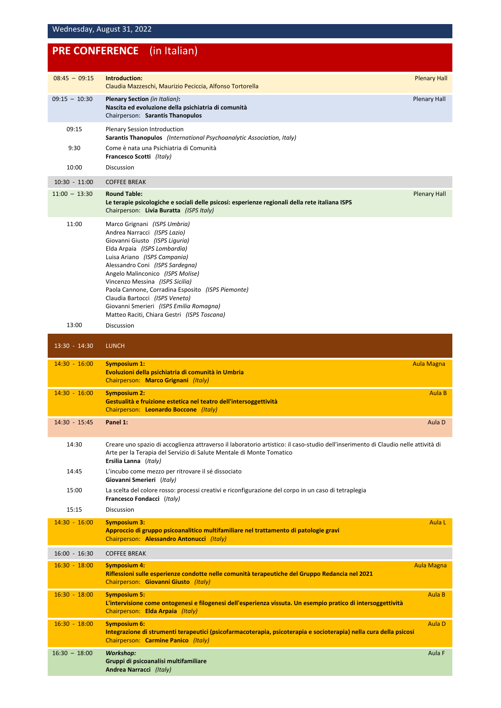## **PRE CONFERENCE** (in Italian)

| $08:45 - 09:15$ | Introduction:<br>Claudia Mazzeschi, Maurizio Peciccia, Alfonso Tortorella                                                                                                                                                                                                                                                                                                                                                                                 | <b>Plenary Hall</b> |
|-----------------|-----------------------------------------------------------------------------------------------------------------------------------------------------------------------------------------------------------------------------------------------------------------------------------------------------------------------------------------------------------------------------------------------------------------------------------------------------------|---------------------|
| $09:15 - 10:30$ | <b>Plenary Section</b> (in Italian):<br>Nascita ed evoluzione della psichiatria di comunità<br>Chairperson: Sarantis Thanopulos                                                                                                                                                                                                                                                                                                                           | <b>Plenary Hall</b> |
| 09:15           | <b>Plenary Session Introduction</b><br>Sarantis Thanopulos (International Psychoanalytic Association, Italy)                                                                                                                                                                                                                                                                                                                                              |                     |
| 9:30            | Come è nata una Psichiatria di Comunità<br>Francesco Scotti (Italy)                                                                                                                                                                                                                                                                                                                                                                                       |                     |
| 10:00           | Discussion                                                                                                                                                                                                                                                                                                                                                                                                                                                |                     |
| $10:30 - 11:00$ | <b>COFFEE BREAK</b>                                                                                                                                                                                                                                                                                                                                                                                                                                       |                     |
| $11:00 - 13:30$ | <b>Round Table:</b><br>Le terapie psicologiche e sociali delle psicosi: esperienze regionali della rete italiana ISPS<br>Chairperson: Livia Buratta (ISPS Italy)                                                                                                                                                                                                                                                                                          | <b>Plenary Hall</b> |
| 11:00           | Marco Grignani (ISPS Umbria)<br>Andrea Narracci (ISPS Lazio)<br>Giovanni Giusto (ISPS Liguria)<br>Elda Arpaia (ISPS Lombardia)<br>Luisa Ariano (ISPS Campania)<br>Alessandro Coni (ISPS Sardegna)<br>Angelo Malinconico (ISPS Molise)<br>Vincenzo Messina (ISPS Sicilia)<br>Paola Cannone, Corradina Esposito (ISPS Piemonte)<br>Claudia Bartocci (ISPS Veneto)<br>Giovanni Smerieri (ISPS Emilia Romagna)<br>Matteo Raciti, Chiara Gestri (ISPS Toscana) |                     |
| 13:00           | <b>Discussion</b>                                                                                                                                                                                                                                                                                                                                                                                                                                         |                     |
| $13:30 - 14:30$ | <b>LUNCH</b>                                                                                                                                                                                                                                                                                                                                                                                                                                              |                     |
| $14:30 - 16:00$ | <b>Symposium 1:</b><br>Evoluzioni della psichiatria di comunità in Umbria<br>Chairperson: Marco Grignani (Italy)                                                                                                                                                                                                                                                                                                                                          | <b>Aula Magna</b>   |
| $14:30 - 16:00$ | <b>Symposium 2:</b><br>Gestualità e fruizione estetica nel teatro dell'intersoggettività<br>Chairperson: Leonardo Boccone (Italy)                                                                                                                                                                                                                                                                                                                         | Aula B              |
| 14:30 - 15:45   | Panel 1:                                                                                                                                                                                                                                                                                                                                                                                                                                                  | Aula D              |
| 14:30           | Creare uno spazio di accoglienza attraverso il laboratorio artistico: il caso-studio dell'inserimento di Claudio nelle attività di<br>Arte per la Terapia del Servizio di Salute Mentale di Monte Tomatico<br>Ersilia Lanna (Italy)                                                                                                                                                                                                                       |                     |
| 14:45           | L'incubo come mezzo per ritrovare il sé dissociato<br>Giovanni Smerieri (Italy)                                                                                                                                                                                                                                                                                                                                                                           |                     |
| 15:00           | La scelta del colore rosso: processi creativi e riconfigurazione del corpo in un caso di tetraplegia<br>Francesco Fondacci (Italy)                                                                                                                                                                                                                                                                                                                        |                     |
| 15:15           | Discussion                                                                                                                                                                                                                                                                                                                                                                                                                                                |                     |
| $14:30 - 16:00$ | <b>Symposium 3:</b><br>Approccio di gruppo psicoanalitico multifamiliare nel trattamento di patologie gravi<br>Chairperson: Alessandro Antonucci (Italy)                                                                                                                                                                                                                                                                                                  | Aula L              |
| $16:00 - 16:30$ | <b>COFFEE BREAK</b>                                                                                                                                                                                                                                                                                                                                                                                                                                       |                     |
| $16:30 - 18:00$ | <b>Symposium 4:</b><br>Riflessioni sulle esperienze condotte nelle comunità terapeutiche del Gruppo Redancia nel 2021<br>Chairperson: Giovanni Giusto (Italy)                                                                                                                                                                                                                                                                                             | <b>Aula Magna</b>   |
| $16:30 - 18:00$ | <b>Symposium 5:</b><br>L'intervisione come ontogenesi e filogenesi dell'esperienza vissuta. Un esempio pratico di intersoggettività<br>Chairperson: Elda Arpaia (Italy)                                                                                                                                                                                                                                                                                   | Aula B              |
| $16:30 - 18:00$ | <b>Symposium 6:</b><br>Integrazione di strumenti terapeutici (psicofarmacoterapia, psicoterapia e socioterapia) nella cura della psicosi<br>Chairperson: Carmine Panico (Italy)                                                                                                                                                                                                                                                                           | Aula D              |
| $16:30 - 18:00$ | <b>Workshop:</b><br>Gruppi di psicoanalisi multifamiliare<br>Andrea Narracci (Italy)                                                                                                                                                                                                                                                                                                                                                                      | Aula F              |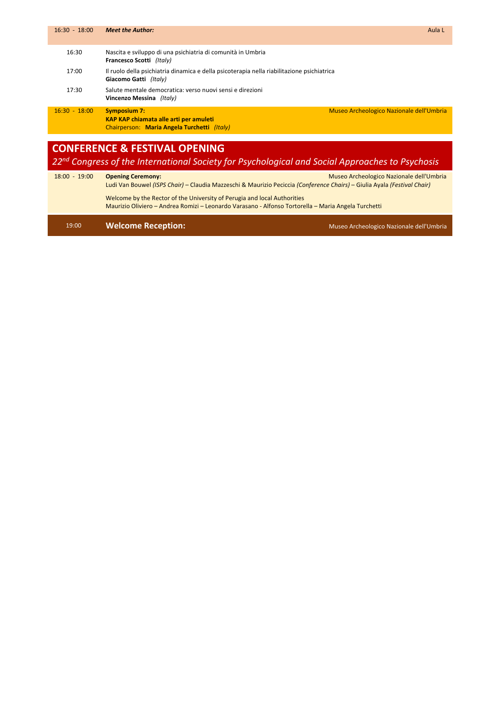| $16:30 - 18:00$ | <b>Meet the Author:</b>                                                                                                                                  | Aula L |
|-----------------|----------------------------------------------------------------------------------------------------------------------------------------------------------|--------|
| 16:30           | Nascita e sviluppo di una psichiatria di comunità in Umbria<br>Francesco Scotti (Italy)                                                                  |        |
| 17:00           | Il ruolo della psichiatria dinamica e della psicoterapia nella riabilitazione psichiatrica<br>Giacomo Gatti (Italy)                                      |        |
| 17:30           | Salute mentale democratica: verso nuovi sensi e direzioni<br>Vincenzo Messina (Italy)                                                                    |        |
| $16:30 - 18:00$ | Museo Archeologico Nazionale dell'Umbria<br><b>Symposium 7:</b><br>KAP KAP chiamata alle arti per amuleti<br>Chairperson: Maria Angela Turchetti (Italy) |        |
|                 |                                                                                                                                                          |        |
|                 | <b>CONFERENCE &amp; FESTIVAL OPENING</b><br>22 <sup>nd</sup> Congress of the International Society for Psychological and Social Approaches to Psychosis  |        |

| $18:00 - 19:00$ | <b>Opening Ceremony:</b>                                                                                                 | Museo Archeologico Nazionale dell'Umbria |
|-----------------|--------------------------------------------------------------------------------------------------------------------------|------------------------------------------|
|                 | Ludi Van Bouwel (ISPS Chair) – Claudia Mazzeschi & Maurizio Peciccia (Conference Chairs) – Giulia Ayala (Festival Chair) |                                          |
|                 | Welcome by the Rector of the University of Perugia and local Authorities                                                 |                                          |
|                 | Maurizio Oliviero – Andrea Romizi – Leonardo Varasano - Alfonso Tortorella – Maria Angela Turchetti                      |                                          |

### 19:00 **Welcome Reception: Canadian Computer Section: Canadian Computer Section: Canadian Computer Section**: **Canadian Computer Section**: **Canadian Computer Section: Canadian Computer Section: Canadian Computer Se**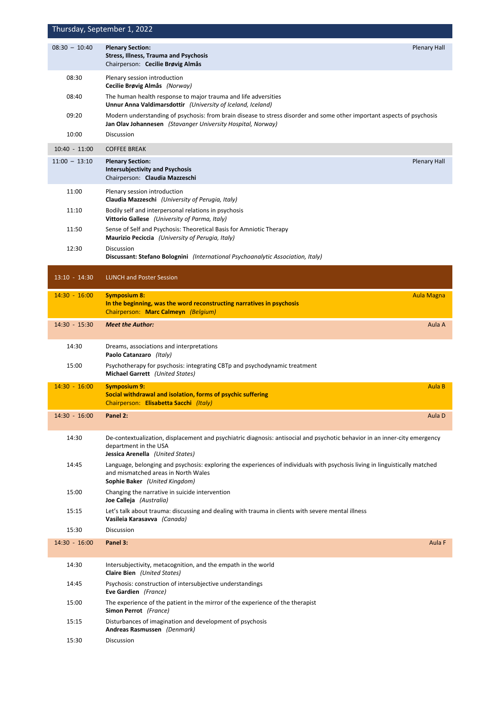|                 | Thursday, September 1, 2022                                                                                                                                                                         |
|-----------------|-----------------------------------------------------------------------------------------------------------------------------------------------------------------------------------------------------|
| $08:30 - 10:40$ | <b>Plenary Section:</b><br><b>Plenary Hall</b><br><b>Stress, Illness, Trauma and Psychosis</b><br>Chairperson: Cecilie Brøvig Almås                                                                 |
| 08:30           | Plenary session introduction<br>Cecilie Brøvig Almås (Norway)                                                                                                                                       |
| 08:40           | The human health response to major trauma and life adversities<br><b>Unnur Anna Valdimarsdottir</b> (University of Iceland, Iceland)                                                                |
| 09:20           | Modern understanding of psychosis: from brain disease to stress disorder and some other important aspects of psychosis<br>Jan Olav Johannesen (Stavanger University Hospital, Norway)               |
| 10:00           | Discussion                                                                                                                                                                                          |
| $10:40 - 11:00$ | <b>COFFEE BREAK</b>                                                                                                                                                                                 |
| $11:00 - 13:10$ | <b>Plenary Section:</b><br><b>Plenary Hall</b><br><b>Intersubjectivity and Psychosis</b><br>Chairperson: Claudia Mazzeschi                                                                          |
| 11:00           | Plenary session introduction<br>Claudia Mazzeschi (University of Perugia, Italy)                                                                                                                    |
| 11:10           | Bodily self and interpersonal relations in psychosis<br><b>Vittorio Gallese</b> (University of Parma, Italy)                                                                                        |
| 11:50           | Sense of Self and Psychosis: Theoretical Basis for Amniotic Therapy<br><b>Maurizio Peciccia</b> (University of Perugia, Italy)                                                                      |
| 12:30           | <b>Discussion</b><br>Discussant: Stefano Bolognini (International Psychoanalytic Association, Italy)                                                                                                |
| $13:10 - 14:30$ | <b>LUNCH and Poster Session</b>                                                                                                                                                                     |
| $14:30 - 16:00$ | <b>Symposium 8:</b><br><b>Aula Magna</b><br>In the beginning, was the word reconstructing narratives in psychosis<br>Chairperson: Marc Calmeyn (Belgium)                                            |
| 14:30 - 15:30   | <b>Meet the Author:</b><br>Aula A                                                                                                                                                                   |
| 14:30           | Dreams, associations and interpretations<br>Paolo Catanzaro (Italy)                                                                                                                                 |
| 15:00           | Psychotherapy for psychosis: integrating CBTp and psychodynamic treatment<br><b>Michael Garrett</b> (United States)                                                                                 |
| $14:30 - 16:00$ | Aula B<br><b>Symposium 9:</b><br>Social withdrawal and isolation, forms of psychic suffering<br>Chairperson: Elisabetta Sacchi (Italy)                                                              |
| $14:30 - 16:00$ | Panel 2:<br>Aula D                                                                                                                                                                                  |
| 14:30           | De-contextualization, displacement and psychiatric diagnosis: antisocial and psychotic behavior in an inner-city emergency<br>department in the USA<br>Jessica Arenella (United States)             |
| 14:45           | Language, belonging and psychosis: exploring the experiences of individuals with psychosis living in linguistically matched<br>and mismatched areas in North Wales<br>Sophie Baker (United Kingdom) |
| 15:00           | Changing the narrative in suicide intervention<br>Joe Calleja (Australia)                                                                                                                           |
| 15:15           | Let's talk about trauma: discussing and dealing with trauma in clients with severe mental illness<br>Vasileia Karasavva (Canada)                                                                    |
| 15:30           | Discussion                                                                                                                                                                                          |
| $14:30 - 16:00$ | Aula F<br>Panel 3:                                                                                                                                                                                  |
| 14:30           | Intersubjectivity, metacognition, and the empath in the world<br>Claire Bien (United States)                                                                                                        |
| 14:45           | Psychosis: construction of intersubjective understandings<br>Eve Gardien (France)                                                                                                                   |
| 15:00           | The experience of the patient in the mirror of the experience of the therapist<br>Simon Perrot (France)                                                                                             |
| 15:15           | Disturbances of imagination and development of psychosis<br>Andreas Rasmussen (Denmark)                                                                                                             |
| 15:30           | <b>Discussion</b>                                                                                                                                                                                   |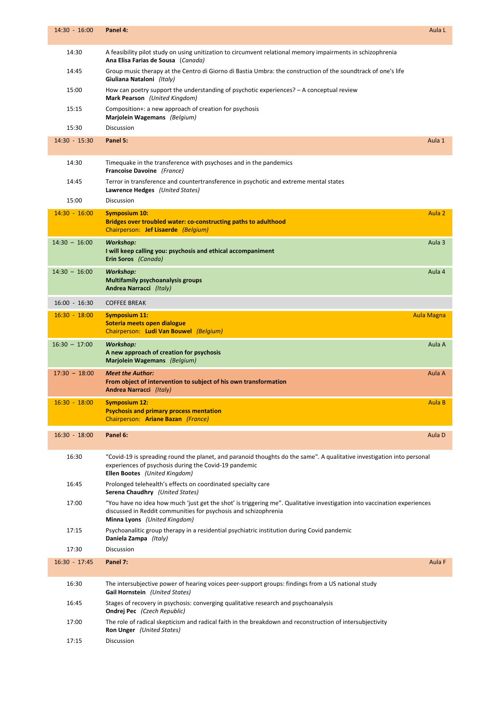| $14:30 - 16:00$ | Panel 4:                                                                                                                                                                                                                           | Aula L            |
|-----------------|------------------------------------------------------------------------------------------------------------------------------------------------------------------------------------------------------------------------------------|-------------------|
| 14:30           | A feasibility pilot study on using unitization to circumvent relational memory impairments in schizophrenia<br>Ana Elisa Farias de Sousa (Canada)                                                                                  |                   |
| 14:45           | Group music therapy at the Centro di Giorno di Bastia Umbra: the construction of the soundtrack of one's life<br>Giuliana Nataloni (Italy)                                                                                         |                   |
| 15:00           | How can poetry support the understanding of psychotic experiences? $-$ A conceptual review<br>Mark Pearson (United Kingdom)                                                                                                        |                   |
| 15:15           | Composition+: a new approach of creation for psychosis<br>Marjolein Wagemans (Belgium)                                                                                                                                             |                   |
| 15:30           | <b>Discussion</b>                                                                                                                                                                                                                  |                   |
| $14:30 - 15:30$ | Panel 5:                                                                                                                                                                                                                           | Aula 1            |
| 14:30           | Timequake in the transference with psychoses and in the pandemics<br>Francoise Davoine (France)                                                                                                                                    |                   |
| 14:45           | Terror in transference and countertransference in psychotic and extreme mental states<br>Lawrence Hedges (United States)                                                                                                           |                   |
| 15:00           | <b>Discussion</b>                                                                                                                                                                                                                  |                   |
| $14:30 - 16:00$ | <b>Symposium 10:</b><br>Bridges over troubled water: co-constructing paths to adulthood<br>Chairperson: Jef Lisaerde (Belgium)                                                                                                     | Aula 2            |
| $14:30 - 16:00$ | <b>Workshop:</b><br>I will keep calling you: psychosis and ethical accompaniment<br>Erin Soros (Canada)                                                                                                                            | Aula <sub>3</sub> |
| $14:30 - 16:00$ | <b>Workshop:</b><br><b>Multifamily psychoanalysis groups</b><br>Andrea Narracci (Italy)                                                                                                                                            | Aula 4            |
| $16:00 - 16:30$ | <b>COFFEE BREAK</b>                                                                                                                                                                                                                |                   |
| $16:30 - 18:00$ | <b>Symposium 11:</b><br>Soteria meets open dialogue<br>Chairperson: Ludi Van Bouwel (Belgium)                                                                                                                                      | Aula Magna        |
| $16:30 - 17:00$ | <b>Workshop:</b><br>A new approach of creation for psychosis<br>Marjolein Wagemans (Belgium)                                                                                                                                       | Aula A            |
| $17:30 - 18:00$ | <b>Meet the Author:</b><br>From object of intervention to subject of his own transformation<br>Andrea Narracci (Italy)                                                                                                             | Aula A            |
| $16:30 - 18:00$ | <b>Symposium 12:</b><br><b>Psychosis and primary process mentation</b><br>Chairperson: Ariane Bazan (France)                                                                                                                       | Aula B            |
| $16:30 - 18:00$ | Panel 6:                                                                                                                                                                                                                           | Aula D            |
| 16:30           | "Covid-19 is spreading round the planet, and paranoid thoughts do the same". A qualitative investigation into personal<br>experiences of psychosis during the Covid-19 pandemic<br>Ellen Bootes (United Kingdom)                   |                   |
| 16:45           | Prolonged telehealth's effects on coordinated specialty care<br><b>Serena Chaudhry</b> (United States)                                                                                                                             |                   |
| 17:00           | "You have no idea how much 'just get the shot' is triggering me". Qualitative investigation into vaccination experiences<br>discussed in Reddit communities for psychosis and schizophrenia<br><b>Minna Lyons</b> (United Kingdom) |                   |
| 17:15           | Psychoanalitic group therapy in a residential psychiatric institution during Covid pandemic<br>Daniela Zampa (Italy)                                                                                                               |                   |
| 17:30           | Discussion                                                                                                                                                                                                                         |                   |
| $16:30 - 17:45$ | Panel 7:                                                                                                                                                                                                                           | Aula F            |
| 16:30           | The intersubjective power of hearing voices peer-support groups: findings from a US national study<br><b>Gail Hornstein</b> (United States)                                                                                        |                   |
| 16:45           | Stages of recovery in psychosis: converging qualitative research and psychoanalysis<br><b>Ondrej Pec</b> (Czech Republic)                                                                                                          |                   |
| 17:00           | The role of radical skepticism and radical faith in the breakdown and reconstruction of intersubjectivity<br><b>Ron Unger</b> (United States)                                                                                      |                   |
| 17:15           | Discussion                                                                                                                                                                                                                         |                   |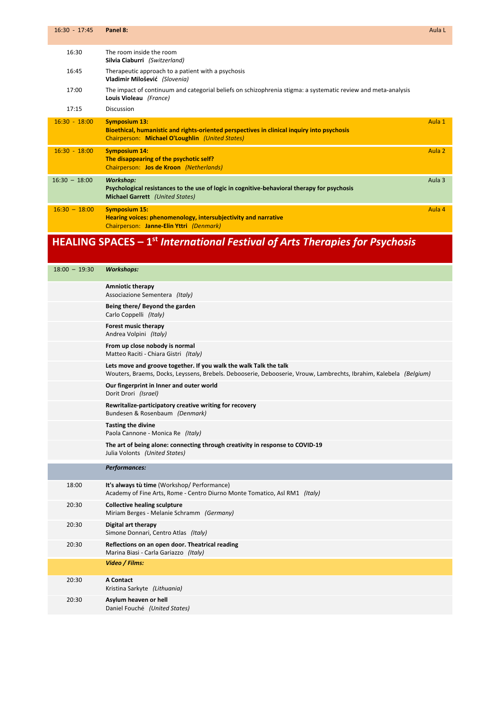| $16:30 - 17:45$ | Panel 8:                                                                                                                                                              | Aula L            |
|-----------------|-----------------------------------------------------------------------------------------------------------------------------------------------------------------------|-------------------|
| 16:30           | The room inside the room<br>Silvia Ciaburri (Switzerland)                                                                                                             |                   |
| 16:45           | Therapeutic approach to a patient with a psychosis<br>Vladimir Milošević (Slovenia)                                                                                   |                   |
| 17:00           | The impact of continuum and categorial beliefs on schizophrenia stigma: a systematic review and meta-analysis<br>Louis Violeau (France)                               |                   |
| 17:15           | Discussion                                                                                                                                                            |                   |
| $16:30 - 18:00$ | <b>Symposium 13:</b><br>Bioethical, humanistic and rights-oriented perspectives in clinical inquiry into psychosis<br>Chairperson: Michael O'Loughlin (United States) | Aula 1            |
| $16:30 - 18:00$ | <b>Symposium 14:</b><br>The disappearing of the psychotic self?<br>Chairperson: Jos de Kroon (Netherlands)                                                            | Aula <sub>2</sub> |
| $16:30 - 18:00$ | <b>Workshop:</b><br>Psychological resistances to the use of logic in cognitive-behavioral therapy for psychosis<br><b>Michael Garrett</b> (United States)             | Aula 3            |
| $16:30 - 18:00$ | <b>Symposium 15:</b><br>Hearing voices: phenomenology, intersubjectivity and narrative<br>Chairperson: Janne-Elin Yttri (Denmark)                                     | Aula 4            |

## **HEALING SPACES – 1st** *International Festival of Arts Therapies for Psychosis*

| $18:00 - 19:30$ | <b>Workshops:</b>                                                                                                                                                                      |
|-----------------|----------------------------------------------------------------------------------------------------------------------------------------------------------------------------------------|
|                 | <b>Amniotic therapy</b><br>Associazione Sementera (Italy)                                                                                                                              |
|                 | Being there/ Beyond the garden<br>Carlo Coppelli (Italy)                                                                                                                               |
|                 | Forest music therapy<br>Andrea Volpini (Italy)                                                                                                                                         |
|                 | From up close nobody is normal<br>Matteo Raciti - Chiara Gistri (Italy)                                                                                                                |
|                 | Lets move and groove together. If you walk the walk Talk the talk<br>Wouters, Braems, Docks, Leyssens, Brebels. Debooserie, Debooserie, Vrouw, Lambrechts, Ibrahim, Kalebela (Belgium) |
|                 | Our fingerprint in Inner and outer world<br>Dorit Drori (Israel)                                                                                                                       |
|                 | Rewritalize-participatory creative writing for recovery<br>Bundesen & Rosenbaum (Denmark)                                                                                              |
|                 | <b>Tasting the divine</b><br>Paola Cannone - Monica Re (Italy)                                                                                                                         |
|                 | The art of being alone: connecting through creativity in response to COVID-19<br>Julia Volonts (United States)                                                                         |
|                 | Performances:                                                                                                                                                                          |
| 18:00           | It's always tù time (Workshop/ Performance)<br>Academy of Fine Arts, Rome - Centro Diurno Monte Tomatico, Asl RM1 (Italy)                                                              |
| 20:30           | <b>Collective healing sculpture</b><br>Miriam Berges - Melanie Schramm (Germany)                                                                                                       |
| 20:30           | Digital art therapy<br>Simone Donnari, Centro Atlas (Italy)                                                                                                                            |
| 20:30           | Reflections on an open door. Theatrical reading<br>Marina Biasi - Carla Gariazzo (Italy)                                                                                               |
|                 | Video / Films:                                                                                                                                                                         |
| 20:30           | <b>A Contact</b><br>Kristina Sarkyte (Lithuania)                                                                                                                                       |
| 20:30           | Asylum heaven or hell<br>Daniel Fouché (United States)                                                                                                                                 |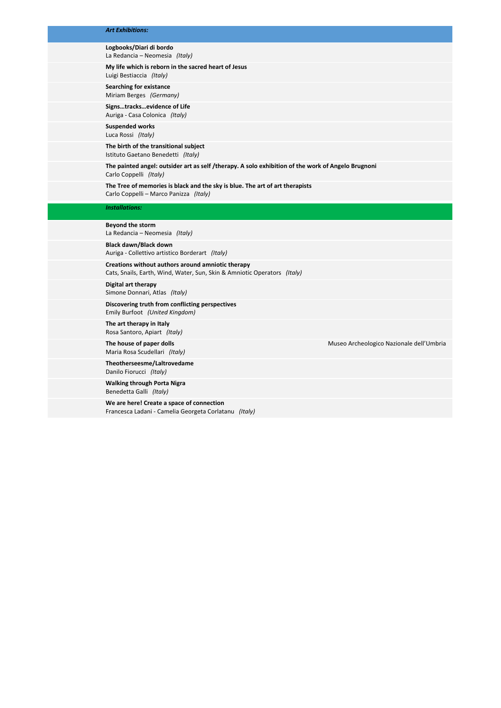#### *Art Exhibitions:*

#### **Logbooks/Diari di bordo** La Redancia – Neomesia *(Italy)*

**My life which is reborn in the sacred heart of Jesus**

Luigi Bestiaccia *(Italy)* **Searching for existance**

Miriam Berges *(Germany)*

**Signs…tracks…evidence of Life** Auriga ‐ Casa Colonica *(Italy)*

**Suspended works** Luca Rossi *(Italy)*

**The birth of the transitional subject**  Istituto Gaetano Benedetti *(Italy)*

**The painted angel: outsider art as self /therapy. A solo exhibition of the work of Angelo Brugnoni** Carlo Coppelli *(Italy)*

**The Tree of memories is black and the sky is blue. The art of art therapists** Carlo Coppelli – Marco Panizza *(Italy)*

#### *Installations:*

**Beyond the storm** La Redancia – Neomesia *(Italy)*

**Black dawn/Black down** Auriga ‐ Collettivo artistico Borderart *(Italy)*

**Creations without authors around amniotic therapy**  Cats, Snails, Earth, Wind, Water, Sun, Skin & Amniotic Operators *(Italy)*

**Digital art therapy**  Simone Donnari, Atlas *(Italy)*

**Discovering truth from conflicting perspectives** Emily Burfoot *(United Kingdom)*

**The art therapy in Italy** Rosa Santoro, Apiart *(Italy)*

Maria Rosa Scudellari *(Italy)*

**Theotherseesme/Laltrovedame** Danilo Fiorucci *(Italy)*

**Walking through Porta Nigra** Benedetta Galli *(Italy)*

**We are here! Create a space of connection** Francesca Ladani ‐ Camelia Georgeta Corlatanu *(Italy)*

**The house of paper dolls** Museo Archeologico Nazionale dell'Umbria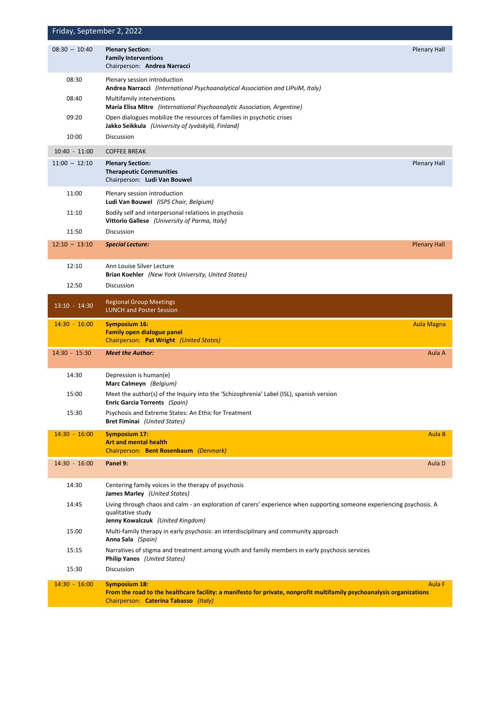|                 | Friday, September 2, 2022                                                                                                                                                       |                     |
|-----------------|---------------------------------------------------------------------------------------------------------------------------------------------------------------------------------|---------------------|
| $08:30 - 10:40$ | <b>Plenary Section:</b><br><b>Family Interventions</b><br>Chairperson: Andrea Narracci                                                                                          | <b>Plenary Hall</b> |
| 08:30           | Plenary session introduction<br>Andrea Narracci (International Psychoanalytical Association and LIPsiM, Italy)                                                                  |                     |
| 08:40           | Multifamily interventions<br><b>María Elisa Mitre</b> (International Psychoanalytic Association, Argentine)                                                                     |                     |
| 09:20           | Open dialogues mobilize the resources of families in psychotic crises<br>Jakko Seikkula (University of Jyväskylä, Finland)                                                      |                     |
| 10:00           | Discussion                                                                                                                                                                      |                     |
| $10:40 - 11:00$ | <b>COFFEE BREAK</b>                                                                                                                                                             |                     |
| $11:00 - 12:10$ | <b>Plenary Section:</b><br><b>Therapeutic Communities</b><br>Chairperson: Ludi Van Bouwel                                                                                       | <b>Plenary Hall</b> |
| 11:00           | Plenary session introduction<br>Ludi Van Bouwel (ISPS Chair, Belgium)                                                                                                           |                     |
| 11:10           | Bodily self and interpersonal relations in psychosis<br><b>Vittorio Gallese</b> (University of Parma, Italy)                                                                    |                     |
| 11:50           | <b>Discussion</b>                                                                                                                                                               |                     |
| $12:10 - 13:10$ | <b>Special Lecture:</b>                                                                                                                                                         | <b>Plenary Hall</b> |
| 12:10           | Ann Louise Silver Lecture<br><b>Brian Koehler</b> (New York University, United States)                                                                                          |                     |
| 12:50           | Discussion                                                                                                                                                                      |                     |
| $13:10 - 14:30$ | <b>Regional Group Meetings</b><br><b>LUNCH and Poster Session</b>                                                                                                               |                     |
| $14:30 - 16:00$ | <b>Symposium 16:</b>                                                                                                                                                            |                     |
|                 | <b>Family open dialogue panel</b><br>Chairperson: Pat Wright (United States)                                                                                                    | <b>Aula Magna</b>   |
| 14:30 - 15:30   | <b>Meet the Author:</b>                                                                                                                                                         | Aula A              |
| 14:30           | Depression is human(e)<br>Marc Calmeyn (Belgium)                                                                                                                                |                     |
| 15:00           | Meet the author(s) of the Inquiry into the 'Schizophrenia' Label (ISL), spanish version<br><b>Enric Garcia Torrents (Spain)</b>                                                 |                     |
| 15:30           | Psychosis and Extreme States: An Ethic for Treatment<br><b>Bret Fiminai</b> (United States)                                                                                     |                     |
| $14:30 - 16:00$ | <b>Symposium 17:</b><br><b>Art and mental health</b><br>Chairperson: Bent Rosenbaum (Denmark)                                                                                   | Aula B              |
| $14:30 - 16:00$ | Panel 9:                                                                                                                                                                        | Aula D              |
| 14:30           | Centering family voices in the therapy of psychosis<br><b>James Marley</b> (United States)                                                                                      |                     |
| 14:45           | Living through chaos and calm - an exploration of carers' experience when supporting someone experiencing psychosis. A<br>qualitative study<br>Jenny Kowalczuk (United Kingdom) |                     |
| 15:00           | Multi-family therapy in early psychosis: an interdisciplinary and community approach<br>Anna Sala (Spain)                                                                       |                     |
| 15:15           | Narratives of stigma and treatment among youth and family members in early psychosis services<br><b>Philip Yanos</b> (United States)                                            |                     |
| 15:30           | Discussion                                                                                                                                                                      |                     |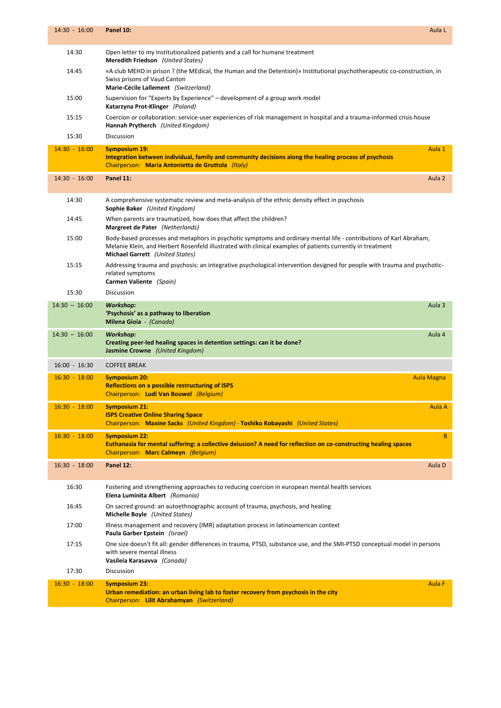| $14:30 - 16:00$ | Panel 10:<br>Aula L                                                                                                                                                                                                                                                 |
|-----------------|---------------------------------------------------------------------------------------------------------------------------------------------------------------------------------------------------------------------------------------------------------------------|
| 14:30           | Open letter to my institutionalized patients and a call for humane treatment<br>Meredith Friedson (United States)                                                                                                                                                   |
| 14:45           | «A club MEHD in prison ? (the MEdical, the Human and the Detention)» Institutional psychotherapeutic co-construction, in<br>Swiss prisons of Vaud Canton<br>Marie-Cécile Lallement (Switzerland)                                                                    |
| 15:00           | Supervision for "Experts by Experience" – development of a group work model<br>Katarzyna Prot-Klinger (Poland)                                                                                                                                                      |
| 15:15           | Coercion or collaboration: service-user experiences of risk management in hospital and a trauma-informed crisis house<br>Hannah Prytherch (United Kingdom)                                                                                                          |
| 15:30           | Discussion                                                                                                                                                                                                                                                          |
| $14:30 - 16:00$ | <b>Symposium 19:</b><br>Aula 1<br>Integration between individual, family and community decisions along the healing process of psychosis<br>Chairperson: Maria Antonietta de Gruttola (Italy)                                                                        |
| 14:30 - 16:00   | Panel 11:<br>Aula <sub>2</sub>                                                                                                                                                                                                                                      |
| 14:30           | A comprehensive systematic review and meta-analysis of the ethnic density effect in psychosis<br><b>Sophie Baker</b> (United Kingdom)                                                                                                                               |
| 14:45           | When parents are traumatized, how does that affect the children?<br>Margreet de Pater (Netherlands)                                                                                                                                                                 |
| 15:00           | Body-based processes and metaphors in psychotic symptoms and ordinary mental life - contributions of Karl Abraham,<br>Melanie Klein, and Herbert Rosenfeld illustrated with clinical examples of patients currently in treatment<br>Michael Garrett (United States) |
| 15:15           | Addressing trauma and psychosis: an integrative psychological intervention designed for people with trauma and psychotic-<br>related symptoms<br>Carmen Valiente (Spain)                                                                                            |
| 15:30           | Discussion                                                                                                                                                                                                                                                          |
| $14:30 - 16:00$ | Aula 3<br><b>Workshop:</b><br>'Psychosis' as a pathway to liberation<br>Milena Gioia - (Canada)                                                                                                                                                                     |
| $14:30 - 16:00$ | Aula 4<br><b>Workshop:</b><br>Creating peer-led healing spaces in detention settings: can it be done?<br>Jasmine Crowne (United Kingdom)                                                                                                                            |
| $16:00 - 16:30$ | <b>COFFEE BREAK</b>                                                                                                                                                                                                                                                 |
| $16:30 - 18:00$ | <b>Symposium 20:</b><br><b>Aula Magna</b><br><b>Reflections on a possible restructuring of ISPS</b><br>Chairperson: Ludi Van Bouwel (Belgium)                                                                                                                       |
| $16:30 - 18:00$ | <b>Symposium 21:</b><br>Aula A<br><b>ISPS Creative Online Sharing Space</b>                                                                                                                                                                                         |
|                 | Chairperson: Maxine Sacks (United Kingdom) - Toshiko Kobayashi (United States)                                                                                                                                                                                      |
| $16:30 - 18:00$ | B.<br><b>Symposium 22:</b><br>Euthanasia for mental suffering: a collective delusion? A need for reflection on co-constructing healing spaces<br>Chairperson: Marc Calmeyn (Belgium)                                                                                |
| $16:30 - 18:00$ | Panel 12:<br>Aula D                                                                                                                                                                                                                                                 |
| 16:30           | Fostering and strengthening approaches to reducing coercion in european mental health services<br>Elena Luminita Albert (Romania)                                                                                                                                   |
| 16:45           | On sacred ground: an autoethnographic account of trauma, psychosis, and healing<br>Michelle Boyle (United States)                                                                                                                                                   |
| 17:00           | Illness management and recovery (IMR) adaptation process in latinoamerican context<br>Paula Garber Epstein (Israel)                                                                                                                                                 |
| 17:15           | One size doesn't fit all: gender differences in trauma, PTSD, substance use, and the SMI-PTSD conceptual model in persons<br>with severe mental illness<br>Vasileia Karasavva (Canada)                                                                              |
| 17:30           | Discussion                                                                                                                                                                                                                                                          |
| $16:30 - 18:00$ | <b>Aula F</b><br><b>Symposium 23:</b><br>Urban remediation: an urban living lab to foster recovery from psychosis in the city<br>Chairperson: Lilit Abrahamyan (Switzerland)                                                                                        |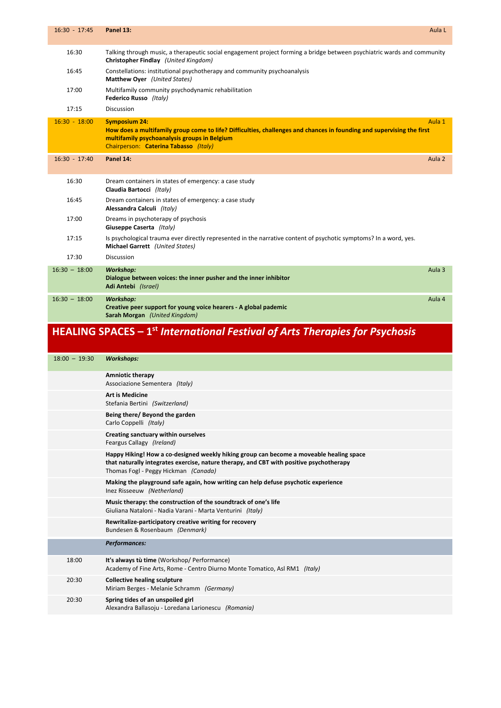| $16:30 - 17:45$ | Panel 13:                                                                                                                                                                                                                              | Aula L            |
|-----------------|----------------------------------------------------------------------------------------------------------------------------------------------------------------------------------------------------------------------------------------|-------------------|
| 16:30           | Talking through music, a therapeutic social engagement project forming a bridge between psychiatric wards and community<br>Christopher Findlay (United Kingdom)                                                                        |                   |
| 16:45           | Constellations: institutional psychotherapy and community psychoanalysis<br>Matthew Oyer (United States)                                                                                                                               |                   |
| 17:00           | Multifamily community psychodynamic rehabilitation<br>Federico Russo (Italy)                                                                                                                                                           |                   |
| 17:15           | Discussion                                                                                                                                                                                                                             |                   |
| $16:30 - 18:00$ | <b>Symposium 24:</b><br>How does a multifamily group come to life? Difficulties, challenges and chances in founding and supervising the first<br>multifamily psychoanalysis groups in Belgium<br>Chairperson: Caterina Tabasso (Italy) | Aula 1            |
| $16:30 - 17:40$ | Panel 14:                                                                                                                                                                                                                              | Aula <sub>2</sub> |
| 16:30           | Dream containers in states of emergency: a case study<br>Claudia Bartocci (Italy)                                                                                                                                                      |                   |
| 16:45           | Dream containers in states of emergency: a case study<br>Alessandra Calculi (Italy)                                                                                                                                                    |                   |
| 17:00           | Dreams in psychoterapy of psychosis<br>Giuseppe Caserta (Italy)                                                                                                                                                                        |                   |
| 17:15           | Is psychological trauma ever directly represented in the narrative content of psychotic symptoms? In a word, yes.<br>Michael Garrett (United States)                                                                                   |                   |
| 17:30           | <b>Discussion</b>                                                                                                                                                                                                                      |                   |
| $16:30 - 18:00$ | <b>Workshop:</b><br>Dialogue between voices: the inner pusher and the inner inhibitor<br>Adi Antebi (Israel)                                                                                                                           | Aula 3            |
| $16:30 - 18:00$ | <b>Workshop:</b><br>Creative peer support for young voice hearers - A global pademic<br>Sarah Morgan (United Kingdom)                                                                                                                  | Aula 4            |

## **HEALING SPACES – 1st** *International Festival of Arts Therapies for Psychosis*

| $18:00 - 19:30$ | <b>Workshops:</b>                                                                                                                                                                                                          |
|-----------------|----------------------------------------------------------------------------------------------------------------------------------------------------------------------------------------------------------------------------|
|                 | <b>Amniotic therapy</b><br>Associazione Sementera (Italy)                                                                                                                                                                  |
|                 | <b>Art is Medicine</b><br>Stefania Bertini (Switzerland)                                                                                                                                                                   |
|                 | Being there/ Beyond the garden<br>Carlo Coppelli (Italy)                                                                                                                                                                   |
|                 | Creating sanctuary within ourselves<br>Feargus Callagy (Ireland)                                                                                                                                                           |
|                 | Happy Hiking! How a co-designed weekly hiking group can become a moveable healing space<br>that naturally integrates exercise, nature therapy, and CBT with positive psychotherapy<br>Thomas Fogl - Peggy Hickman (Canada) |
|                 | Making the playground safe again, how writing can help defuse psychotic experience<br>Inez Risseeuw (Netherland)                                                                                                           |
|                 | Music therapy: the construction of the soundtrack of one's life<br>Giuliana Nataloni - Nadia Varani - Marta Venturini (Italy)                                                                                              |
|                 | Rewritalize-participatory creative writing for recovery<br>Bundesen & Rosenbaum (Denmark)                                                                                                                                  |
|                 | <b>Performances:</b>                                                                                                                                                                                                       |
| 18:00           | It's always tù time (Workshop/ Performance)<br>Academy of Fine Arts, Rome - Centro Diurno Monte Tomatico, Asl RM1 (Italy)                                                                                                  |
| 20:30           | <b>Collective healing sculpture</b><br>Miriam Berges - Melanie Schramm (Germany)                                                                                                                                           |
| 20:30           | Spring tides of an unspoiled girl<br>Alexandra Ballasoju - Loredana Larionescu (Romania)                                                                                                                                   |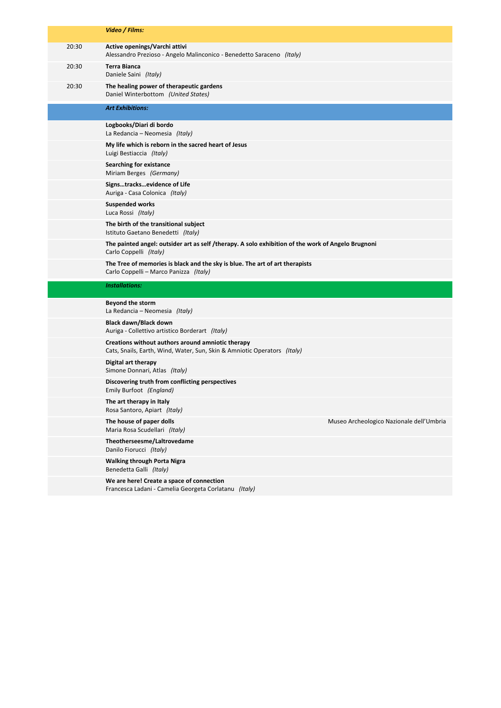|       | Video / Films:                                                                                                                |
|-------|-------------------------------------------------------------------------------------------------------------------------------|
| 20:30 | Active openings/Varchi attivi<br>Alessandro Prezioso - Angelo Malinconico - Benedetto Saraceno (Italy)                        |
| 20:30 | <b>Terra Bianca</b><br>Daniele Saini (Italy)                                                                                  |
| 20:30 | The healing power of therapeutic gardens<br>Daniel Winterbottom (United States)                                               |
|       | <b>Art Exhibitions:</b>                                                                                                       |
|       | Logbooks/Diari di bordo<br>La Redancia – Neomesia (Italy)                                                                     |
|       | My life which is reborn in the sacred heart of Jesus<br>Luigi Bestiaccia (Italy)                                              |
|       | <b>Searching for existance</b><br>Miriam Berges (Germany)                                                                     |
|       | Signstracksevidence of Life<br>Auriga - Casa Colonica (Italy)                                                                 |
|       | <b>Suspended works</b><br>Luca Rossi (Italy)                                                                                  |
|       | The birth of the transitional subject<br>Istituto Gaetano Benedetti (Italy)                                                   |
|       | The painted angel: outsider art as self /therapy. A solo exhibition of the work of Angelo Brugnoni<br>Carlo Coppelli (Italy)  |
|       | The Tree of memories is black and the sky is blue. The art of art therapists<br>Carlo Coppelli - Marco Panizza (Italy)        |
|       |                                                                                                                               |
|       | <b>Installations:</b>                                                                                                         |
|       | Beyond the storm<br>La Redancia – Neomesia (Italy)                                                                            |
|       | Black dawn/Black down<br>Auriga - Collettivo artistico Borderart (Italy)                                                      |
|       | Creations without authors around amniotic therapy<br>Cats, Snails, Earth, Wind, Water, Sun, Skin & Amniotic Operators (Italy) |
|       | Digital art therapy<br>Simone Donnari, Atlas (Italy)                                                                          |
|       | Discovering truth from conflicting perspectives<br>Emily Burfoot (England)                                                    |
|       | The art therapy in Italy<br>Rosa Santoro, Apiart (Italy)                                                                      |
|       | The house of paper dolls<br>Museo Archeologico Nazionale dell'Umbria<br>Maria Rosa Scudellari (Italy)                         |
|       | Theotherseesme/Laltrovedame<br>Danilo Fiorucci (Italy)                                                                        |
|       | <b>Walking through Porta Nigra</b><br>Benedetta Galli (Italy)                                                                 |
|       | We are here! Create a space of connection<br>Francesca Ladani - Camelia Georgeta Corlatanu (Italy)                            |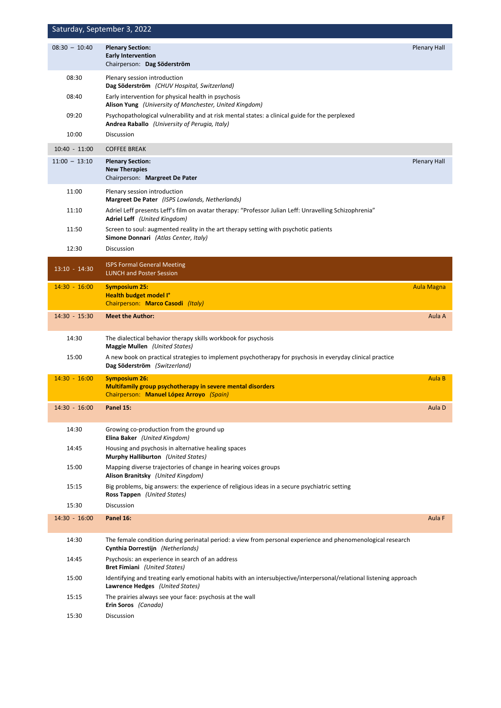| Saturday, September 3, 2022 |                                                                                                                                                        |                     |  |
|-----------------------------|--------------------------------------------------------------------------------------------------------------------------------------------------------|---------------------|--|
| $08:30 - 10:40$             | <b>Plenary Section:</b><br><b>Early Intervention</b><br>Chairperson: Dag Söderström                                                                    | <b>Plenary Hall</b> |  |
| 08:30                       | Plenary session introduction<br>Dag Söderström (CHUV Hospital, Switzerland)                                                                            |                     |  |
| 08:40                       | Early intervention for physical health in psychosis<br>Alison Yung (University of Manchester, United Kingdom)                                          |                     |  |
| 09:20                       | Psychopathological vulnerability and at risk mental states: a clinical guide for the perplexed<br>Andrea Raballo (University of Perugia, Italy)        |                     |  |
| 10:00                       | Discussion                                                                                                                                             |                     |  |
| $10:40 - 11:00$             | <b>COFFEE BREAK</b>                                                                                                                                    |                     |  |
| $11:00 - 13:10$             | <b>Plenary Section:</b><br><b>New Therapies</b><br>Chairperson: Margreet De Pater                                                                      | <b>Plenary Hall</b> |  |
| 11:00                       | Plenary session introduction<br>Margreet De Pater (ISPS Lowlands, Netherlands)                                                                         |                     |  |
| 11:10                       | Adriel Leff presents Leff's film on avatar therapy: "Professor Julian Leff: Unravelling Schizophrenia"<br>Adriel Leff (United Kingdom)                 |                     |  |
| 11:50                       | Screen to soul: augmented reality in the art therapy setting with psychotic patients<br>Simone Donnari (Atlas Center, Italy)                           |                     |  |
| 12:30                       | Discussion                                                                                                                                             |                     |  |
| $13:10 - 14:30$             | <b>ISPS Formal General Meeting</b><br><b>LUNCH and Poster Session</b>                                                                                  |                     |  |
| $14:30 - 16:00$             | <b>Symposium 25:</b><br><b>Health budget model I°</b><br>Chairperson: Marco Casodi (Italy)                                                             | <b>Aula Magna</b>   |  |
| 14:30 - 15:30               | <b>Meet the Author:</b>                                                                                                                                | Aula A              |  |
| 14:30                       | The dialectical behavior therapy skills workbook for psychosis<br><b>Maggie Mullen</b> (United States)                                                 |                     |  |
| 15:00                       | A new book on practical strategies to implement psychotherapy for psychosis in everyday clinical practice<br>Dag Söderström (Switzerland)              |                     |  |
| $14:30 - 16:00$             | <b>Symposium 26:</b><br><b>Multifamily group psychotherapy in severe mental disorders</b><br>Chairperson: Manuel López Arroyo (Spain)                  | Aula B              |  |
| $14:30 - 16:00$             | Panel 15:                                                                                                                                              | Aula D              |  |
| 14:30                       | Growing co-production from the ground up<br>Elina Baker (United Kingdom)                                                                               |                     |  |
| 14:45                       | Housing and psychosis in alternative healing spaces<br>Murphy Halliburton (United States)                                                              |                     |  |
| 15:00                       | Mapping diverse trajectories of change in hearing voices groups<br>Alison Branitsky (United Kingdom)                                                   |                     |  |
| 15:15                       | Big problems, big answers: the experience of religious ideas in a secure psychiatric setting<br>Ross Tappen (United States)                            |                     |  |
| 15:30                       | Discussion                                                                                                                                             |                     |  |
| $14:30 - 16:00$             | Panel 16:                                                                                                                                              | Aula F              |  |
| 14:30                       | The female condition during perinatal period: a view from personal experience and phenomenological research<br>Cynthia Dorrestijn (Netherlands)        |                     |  |
| 14:45                       | Psychosis: an experience in search of an address<br><b>Bret Fimiani</b> (United States)                                                                |                     |  |
| 15:00                       | Identifying and treating early emotional habits with an intersubjective/interpersonal/relational listening approach<br>Lawrence Hedges (United States) |                     |  |
| 15:15                       | The prairies always see your face: psychosis at the wall<br>Erin Soros (Canada)                                                                        |                     |  |
| 15:30                       | Discussion                                                                                                                                             |                     |  |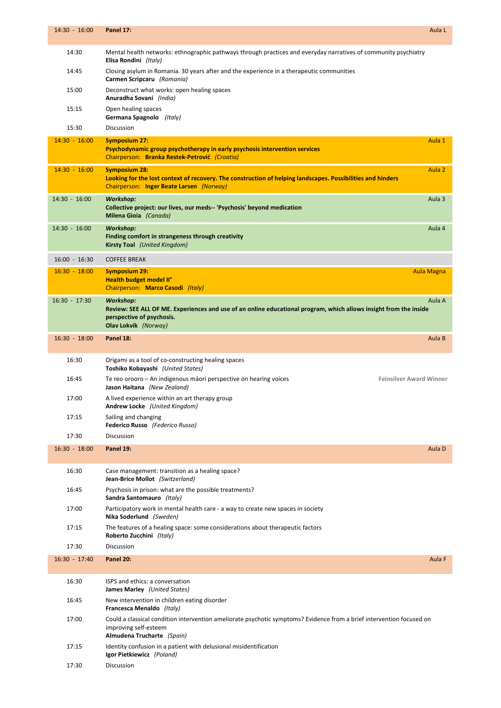| $14:30 - 16:00$ | Panel 17:                                                                                                                                                                                         | Aula L            |
|-----------------|---------------------------------------------------------------------------------------------------------------------------------------------------------------------------------------------------|-------------------|
| 14:30           | Mental health networks: ethnographic pathways through practices and everyday narratives of community psychiatry<br>Elisa Rondini (Italy)                                                          |                   |
| 14:45           | Closing asylum in Romania. 30 years after and the experience in a therapeutic communities<br>Carmen Scripcaru (Romania)                                                                           |                   |
| 15:00           | Deconstruct what works: open healing spaces<br>Anuradha Sovani (India)                                                                                                                            |                   |
| 15:15           | Open healing spaces<br>Germana Spagnolo (Italy)                                                                                                                                                   |                   |
| 15:30           | <b>Discussion</b>                                                                                                                                                                                 |                   |
| $14:30 - 16:00$ | <b>Symposium 27:</b><br>Psychodynamic group psychotherapy in early psychosis intervention services<br>Chairperson: Branka Restek-Petrović (Croatia)                                               | Aula 1            |
| $14:30 - 16:00$ | <b>Symposium 28:</b><br>Looking for the lost context of recovery. The construction of helping landscapes. Possibilities and hinders<br>Chairperson: Inger Beate Larsen (Norway)                   | Aula <sub>2</sub> |
| 14:30 - 16:00   | <b>Workshop:</b><br>Collective project: our lives, our meds-- 'Psychosis' beyond medication<br>Milena Gioia (Canada)                                                                              | Aula 3            |
| 14:30 - 16:00   | <b>Workshop:</b><br>Finding comfort in strangeness through creativity<br><b>Kirsty Toal</b> (United Kingdom)                                                                                      | Aula 4            |
| $16:00 - 16:30$ | <b>COFFEE BREAK</b>                                                                                                                                                                               |                   |
| $16:30 - 18:00$ | <b>Symposium 29:</b><br>Health budget model II°<br>Chairperson: Marco Casodi (Italy)                                                                                                              | <b>Aula Magna</b> |
| $16:30 - 17:30$ | <b>Workshop:</b><br>Review: SEE ALL OF ME. Experiences and use of an online educational program, which allows insight from the inside<br>perspective of psychosis.<br><b>Olav Lokvik</b> (Norway) | Aula A            |
| $16:30 - 18:00$ | Panel 18:                                                                                                                                                                                         | Aula B            |
| 16:30           | Origami as a tool of co-constructing healing spaces<br>Toshiko Kobayashi (United States)                                                                                                          |                   |
| 16:45           | Te reo orooro – An indigenous mãori perspective on hearing voices<br><b>Feinsilver Award Winner</b><br>Jason Haitana (New Zealand)                                                                |                   |
| 17:00           | A lived experience within an art therapy group<br>Andrew Locke (United Kingdom)                                                                                                                   |                   |
| 17:15           | Sailing and changing<br>Federico Russo (Federico Russo)                                                                                                                                           |                   |
| 17:30           | <b>Discussion</b>                                                                                                                                                                                 |                   |
| $16:30 - 18:00$ | Panel 19:                                                                                                                                                                                         | Aula D            |
| 16:30           | Case management: transition as a healing space?<br>Jean-Brice Mollot (Switzerland)                                                                                                                |                   |
| 16:45           | Psychosis in prison: what are the possible treatments?<br>Sandra Santomauro (Italy)                                                                                                               |                   |
| 17:00           | Participatory work in mental health care - a way to create new spaces in society<br>Nika Soderlund (Sweden)                                                                                       |                   |
| 17:15           | The features of a healing space: some considerations about therapeutic factors<br>Roberto Zucchini (Italy)                                                                                        |                   |
| 17:30           | <b>Discussion</b>                                                                                                                                                                                 |                   |
| $16:30 - 17:40$ | <b>Panel 20:</b>                                                                                                                                                                                  | Aula F            |
| 16:30           | ISPS and ethics: a conversation<br><b>James Marley</b> (United States)                                                                                                                            |                   |
| 16:45           | New intervention in children eating disorder<br>Francesca Menaldo (Italy)                                                                                                                         |                   |
| 17:00           | Could a classical condition intervention ameliorate psychotic symptoms? Evidence from a brief intervention focused on<br>improving self-esteem<br>Almudena Trucharte (Spain)                      |                   |
| 17:15           | Identity confusion in a patient with delusional misidentification<br>Igor Pietkiewicz (Poland)                                                                                                    |                   |
| 17:30           | <b>Discussion</b>                                                                                                                                                                                 |                   |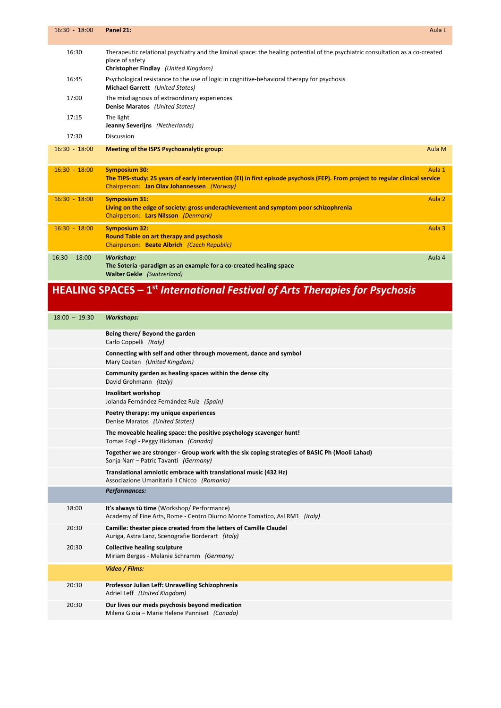| $16:30 - 18:00$ | Panel 21:                                                                                                                                                                                            | Aula L |
|-----------------|------------------------------------------------------------------------------------------------------------------------------------------------------------------------------------------------------|--------|
| 16:30           | Therapeutic relational psychiatry and the liminal space: the healing potential of the psychiatric consultation as a co-created<br>place of safety<br>Christopher Findlay (United Kingdom)            |        |
| 16:45           | Psychological resistance to the use of logic in cognitive-behavioral therapy for psychosis<br>Michael Garrett (United States)                                                                        |        |
| 17:00           | The misdiagnosis of extraordinary experiences<br>Denise Maratos (United States)                                                                                                                      |        |
| 17:15           | The light<br>Jeanny Severijns (Netherlands)                                                                                                                                                          |        |
| 17:30           | Discussion                                                                                                                                                                                           |        |
| $16:30 - 18:00$ | Meeting of the ISPS Psychoanalytic group:                                                                                                                                                            | Aula M |
|                 |                                                                                                                                                                                                      |        |
| $16:30 - 18:00$ | <b>Symposium 30:</b><br>The TIPS-study: 25 years of early intervention (EI) in first episode psychosis (FEP). From project to regular clinical service<br>Chairperson: Jan Olav Johannessen (Norway) | Aula 1 |
| $16:30 - 18:00$ | <b>Symposium 31:</b><br>Living on the edge of society: gross underachievement and symptom poor schizophrenia<br>Chairperson: Lars Nilsson (Denmark)                                                  | Aula 2 |
| $16:30 - 18:00$ | <b>Symposium 32:</b><br><b>Round Table on art therapy and psychosis</b><br>Chairperson: Beate Albrich (Czech Republic)                                                                               | Aula 3 |

## **HEALING SPACES – 1st** *International Festival of Arts Therapies for Psychosis*

| $18:00 - 19:30$ | <b>Workshops:</b>                                                                                                                       |
|-----------------|-----------------------------------------------------------------------------------------------------------------------------------------|
|                 | Being there/ Beyond the garden<br>Carlo Coppelli (Italy)                                                                                |
|                 | Connecting with self and other through movement, dance and symbol<br>Mary Coaten (United Kingdom)                                       |
|                 | Community garden as healing spaces within the dense city<br>David Grohmann (Italy)                                                      |
|                 | Insolitart workshop<br>Jolanda Fernández Fernández Ruiz (Spain)                                                                         |
|                 | Poetry therapy: my unique experiences<br>Denise Maratos (United States)                                                                 |
|                 | The moveable healing space: the positive psychology scavenger hunt!<br>Tomas Fogl - Peggy Hickman (Canada)                              |
|                 | Together we are stronger - Group work with the six coping strategies of BASIC Ph (Mooli Lahad)<br>Sonja Narr - Patric Tavanti (Germany) |
|                 | Translational amniotic embrace with translational music (432 Hz)<br>Associazione Umanitaria il Chicco (Romania)                         |
|                 | Performances:                                                                                                                           |
| 18:00           | It's always tù time (Workshop/ Performance)<br>Academy of Fine Arts, Rome - Centro Diurno Monte Tomatico, Asl RM1 (Italy)               |
| 20:30           | Camille: theater piece created from the letters of Camille Claudel<br>Auriga, Astra Lanz, Scenografie Borderart (Italy)                 |
| 20:30           | <b>Collective healing sculpture</b><br>Miriam Berges - Melanie Schramm (Germany)                                                        |
|                 | Video / Films:                                                                                                                          |
| 20:30           | Professor Julian Leff: Unravelling Schizophrenia<br>Adriel Leff (United Kingdom)                                                        |
| 20:30           | Our lives our meds psychosis beyond medication<br>Milena Gioia - Marie Helene Panniset (Canada)                                         |
|                 |                                                                                                                                         |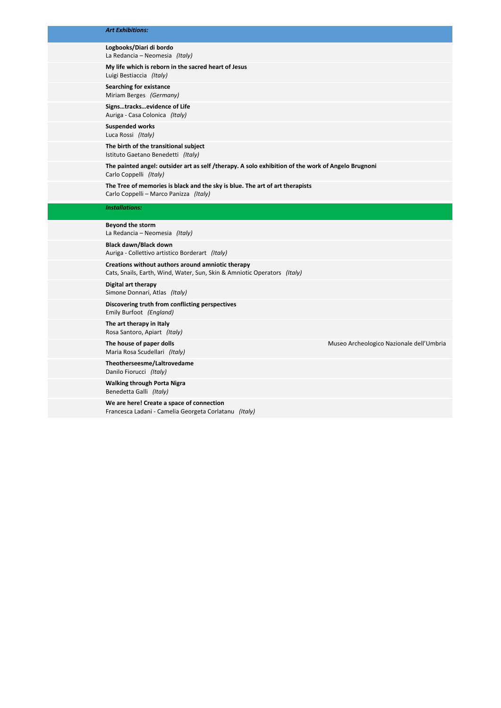#### *Art Exhibitions:*

#### **Logbooks/Diari di bordo** La Redancia – Neomesia *(Italy)*

**My life which is reborn in the sacred heart of Jesus**

Luigi Bestiaccia *(Italy)* **Searching for existance**

Miriam Berges *(Germany)*

**Signs…tracks…evidence of Life** Auriga ‐ Casa Colonica *(Italy)*

**Suspended works** Luca Rossi *(Italy)*

**The birth of the transitional subject**  Istituto Gaetano Benedetti *(Italy)*

**The painted angel: outsider art as self /therapy. A solo exhibition of the work of Angelo Brugnoni** Carlo Coppelli *(Italy)*

**The Tree of memories is black and the sky is blue. The art of art therapists** Carlo Coppelli – Marco Panizza *(Italy)*

#### *Installations:*

**Beyond the storm** La Redancia – Neomesia *(Italy)*

**Black dawn/Black down** Auriga ‐ Collettivo artistico Borderart *(Italy)*

**Creations without authors around amniotic therapy**  Cats, Snails, Earth, Wind, Water, Sun, Skin & Amniotic Operators *(Italy)*

**Digital art therapy**  Simone Donnari, Atlas *(Italy)*

**Discovering truth from conflicting perspectives** Emily Burfoot *(England)*

**The art therapy in Italy** Rosa Santoro, Apiart *(Italy)*

Maria Rosa Scudellari *(Italy)*

**Theotherseesme/Laltrovedame** Danilo Fiorucci *(Italy)*

**Walking through Porta Nigra** Benedetta Galli *(Italy)*

**We are here! Create a space of connection** Francesca Ladani ‐ Camelia Georgeta Corlatanu *(Italy)*

**The house of paper dolls** Museo Archeologico Nazionale dell'Umbria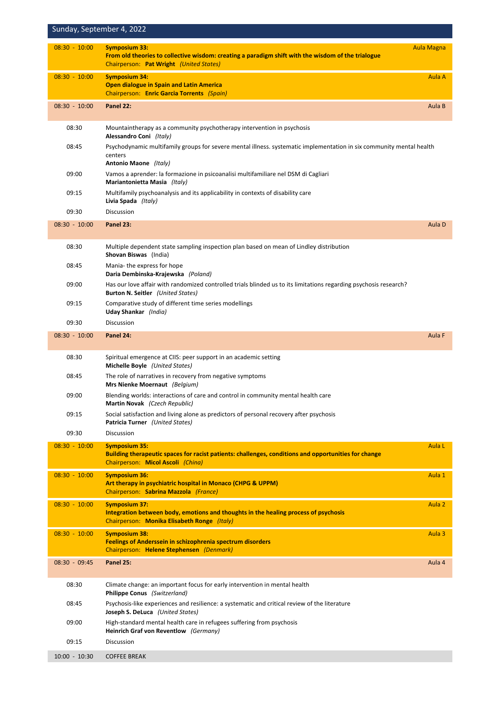| Sunday, September 4, 2022 |                                                                                                                                                                       |                   |
|---------------------------|-----------------------------------------------------------------------------------------------------------------------------------------------------------------------|-------------------|
| $08:30 - 10:00$           | <b>Symposium 33:</b><br>From old theories to collective wisdom: creating a paradigm shift with the wisdom of the trialogue<br>Chairperson: Pat Wright (United States) | <b>Aula Magna</b> |
| $08:30 - 10:00$           | <b>Symposium 34:</b><br><b>Open dialogue in Spain and Latin America</b><br>Chairperson: Enric Garcia Torrents (Spain)                                                 | Aula A            |
| $08:30 - 10:00$           | Panel 22:                                                                                                                                                             | Aula B            |
| 08:30                     | Mountaintherapy as a community psychotherapy intervention in psychosis<br>Alessandro Coni (Italy)                                                                     |                   |
| 08:45                     | Psychodynamic multifamily groups for severe mental illness. systematic implementation in six community mental health<br>centers                                       |                   |
| 09:00                     | Antonio Maone (Italy)<br>Vamos a aprender: la formazione in psicoanalisi multifamiliare nel DSM di Cagliari<br>Mariantonietta Masia (Italy)                           |                   |
| 09:15                     | Multifamily psychoanalysis and its applicability in contexts of disability care<br>Livia Spada (Italy)                                                                |                   |
| 09:30                     | Discussion                                                                                                                                                            |                   |
| $08:30 - 10:00$           | Panel 23:                                                                                                                                                             | Aula D            |
| 08:30                     | Multiple dependent state sampling inspection plan based on mean of Lindley distribution<br>Shovan Biswas (India)                                                      |                   |
| 08:45                     | Mania-the express for hope<br>Daria Dembinska-Krajewska (Poland)                                                                                                      |                   |
| 09:00                     | Has our love affair with randomized controlled trials blinded us to its limitations regarding psychosis research?<br><b>Burton N. Seitler</b> (United States)         |                   |
| 09:15                     | Comparative study of different time series modellings<br>Uday Shankar (India)                                                                                         |                   |
| 09:30                     | Discussion                                                                                                                                                            |                   |
| $08:30 - 10:00$           | Panel 24:                                                                                                                                                             | Aula F            |
| 08:30                     | Spiritual emergence at CIIS: peer support in an academic setting<br>Michelle Boyle (United States)                                                                    |                   |
| 08:45                     | The role of narratives in recovery from negative symptoms<br>Mrs Nienke Moernaut (Belgium)                                                                            |                   |
| 09:00                     | Blending worlds: interactions of care and control in community mental health care<br>Martin Novak (Czech Republic)                                                    |                   |
| 09:15                     | Social satisfaction and living alone as predictors of personal recovery after psychosis<br><b>Patricia Turner</b> (United States)                                     |                   |
| 09:30                     | Discussion                                                                                                                                                            |                   |
| $08:30 - 10:00$           | <b>Symposium 35:</b><br>Building therapeutic spaces for racist patients: challenges, conditions and opportunities for change<br>Chairperson: Micol Ascoli (China)     | Aula <sub>L</sub> |
| $08:30 - 10:00$           | <b>Symposium 36:</b><br>Art therapy in psychiatric hospital in Monaco (CHPG & UPPM)<br>Chairperson: Sabrina Mazzola (France)                                          | Aula 1            |
| $08:30 - 10:00$           | <b>Symposium 37:</b><br>Integration between body, emotions and thoughts in the healing process of psychosis<br>Chairperson: Monika Elisabeth Ronge (Italy)            | Aula <sub>2</sub> |
| $08:30 - 10:00$           | <b>Symposium 38:</b><br>Feelings of Anderssein in schizophrenia spectrum disorders<br>Chairperson: Helene Stephensen (Denmark)                                        | Aula 3            |
| $08:30 - 09:45$           | Panel 25:                                                                                                                                                             | Aula 4            |
| 08:30                     | Climate change: an important focus for early intervention in mental health<br>Philippe Conus (Switzerland)                                                            |                   |
| 08:45                     | Psychosis-like experiences and resilience: a systematic and critical review of the literature<br>Joseph S. DeLuca (United States)                                     |                   |
| 09:00                     | High-standard mental health care in refugees suffering from psychosis<br>Heinrich Graf von Reventlow (Germany)                                                        |                   |
| 09:15                     | Discussion                                                                                                                                                            |                   |
| $10:00 - 10:30$           | <b>COFFEE BREAK</b>                                                                                                                                                   |                   |